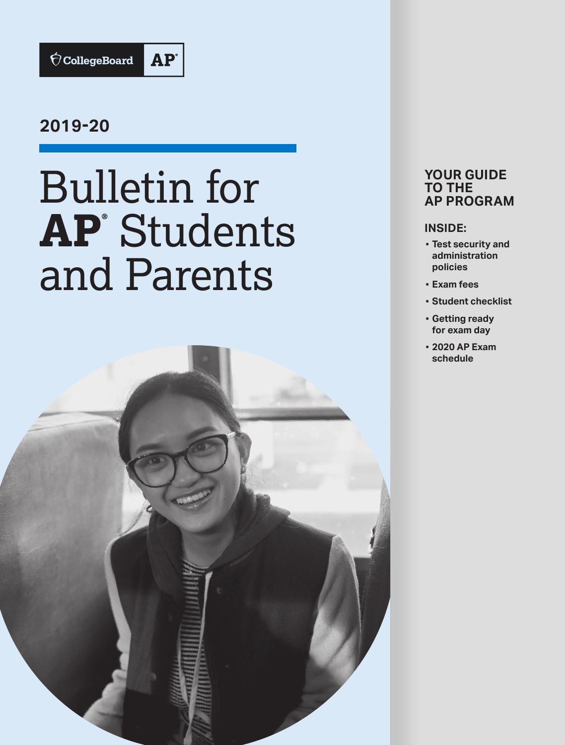

## **2019-20**

# Bulletin for **AP®** Students and Parents



## **YOUR GUIDE TO THE AP PROGRAM**

### **INSIDE:**

- **▪ Test security and administration policies**
- **▪ Exam fees**
- **▪ Student checklist**
- **▪ Getting ready for exam day**
- **▪ 2020 AP Exam schedule**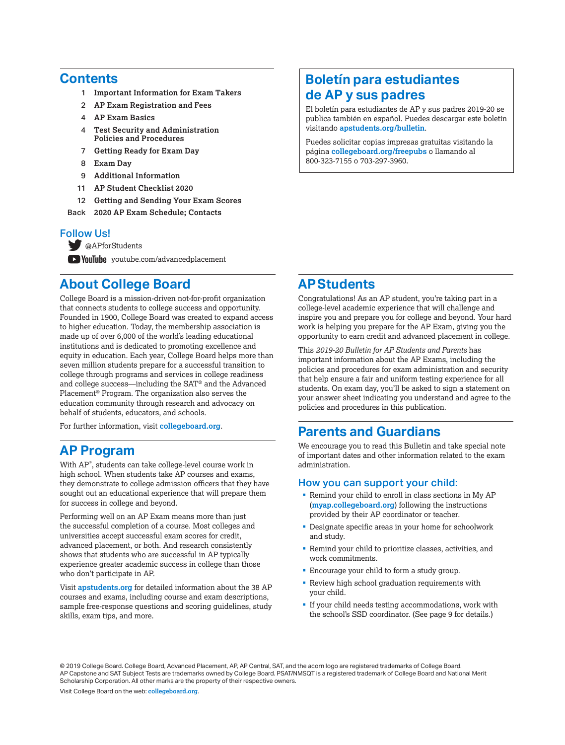## **Contents**

- 1 **[Important Information for Exam Takers](#page-2-0)**
- 2 **[AP Exam Registration and Fees](#page-3-0)**
- 4 **[AP Exam Basics](#page-5-0)**
- 4 **[Test Security and Administration](#page-5-0)   [Policies and Procedures](#page-5-0)**
- 7 **[Getting Ready for Exam Day](#page-8-0)**
- 8 **[Exam Day](#page-9-0)**
- 9 **[Additional Information](#page-10-0)**
- 11 **[AP Student Checklist 2020](#page-12-0)**
- 12 **[Getting and Sending Your Exam Scores](#page-13-0)**
- Back **[2020 AP Exam Schedule; Contacts](#page-15-0)**

### Follow Us!

[@APforStudents](https://twitter.com/APforStudents)

**YouTube** voutube.com/advancedplacement

## **About College Board**

College Board is a mission-driven not-for-profit organization that connects students to college success and opportunity. Founded in 1900, College Board was created to expand access to higher education. Today, the membership association is made up of over 6,000 of the world's leading educational institutions and is dedicated to promoting excellence and equity in education. Each year, College Board helps more than seven million students prepare for a successful transition to college through programs and services in college readiness and college success—including the SAT® and the Advanced Placement® Program. The organization also serves the education community through research and advocacy on behalf of students, educators, and schools.

For further information, visit **[collegeboard.org](http://www.collegeboard.org)**.

## **AP Program**

With AP® , students can take college-level course work in high school. When students take AP courses and exams, they demonstrate to college admission officers that they have sought out an educational experience that will prepare them for success in college and beyond.

Performing well on an AP Exam means more than just the successful completion of a course. Most colleges and universities accept successful exam scores for credit, advanced placement, or both. And research consistently shows that students who are successful in AP typically experience greater academic success in college than those who don't participate in AP.

Visit **[apstudents.org](http://apstudents.org)** for detailed information about the 38 AP courses and exams, including course and exam descriptions, sample free-response questions and scoring guidelines, study skills, exam tips, and more.

## **Boletín para estudiantes de AP y sus padres**

El boletín para estudiantes de AP y sus padres 2019-20 se publica también en español. Puedes descargar este boletín visitando **[apstudents.org/](http://apstudents.org/bulletin)bulletin**.

Puedes solicitar copias impresas gratuitas visitando la página **[collegeboard.org/freepubs](http://collegeboard.org/freepubs)** o llamando al 800-323-7155 o 703-297-3960.

## **APStudents**

Congratulations! As an AP student, you're taking part in a college-level academic experience that will challenge and inspire you and prepare you for college and beyond. Your hard work is helping you prepare for the AP Exam, giving you the opportunity to earn credit and advanced placement in college.

This *2019-20 Bulletin for AP Students and Parents* has important information about the AP Exams, including the policies and procedures for exam administration and security that help ensure a fair and uniform testing experience for all students. On exam day, you'll be asked to sign a statement on your answer sheet indicating you understand and agree to the policies and procedures in this publication.

## **Parents and Guardians**

We encourage you to read this Bulletin and take special note of important dates and other information related to the exam administration.

### How you can support your child:

- § Remind your child to enroll in class sections in My AP (**[myap.collegeboard.org](https://myap.collegeboard.org/login)**) following the instructions provided by their AP coordinator or teacher.
- Designate specific areas in your home for schoolwork and study.
- § Remind your child to prioritize classes, activities, and work commitments.
- **Encourage your child to form a study group.**
- **Review high school graduation requirements with** your child.
- § If your child needs testing accommodations, work with the school's SSD coordinator. (See page 9 for details.)

© 2019 College Board. College Board, Advanced Placement, AP, AP Central, SAT, and the acorn logo are registered trademarks of College Board. AP Capstone and SAT Subject Tests are trademarks owned by College Board. PSAT/NMSQT is a registered trademark of College Board and National Merit Scholarship Corporation. All other marks are the property of their respective owners.

Visit College Board on the web: **[collegeboard.org](http://www.collegeboard.org)**.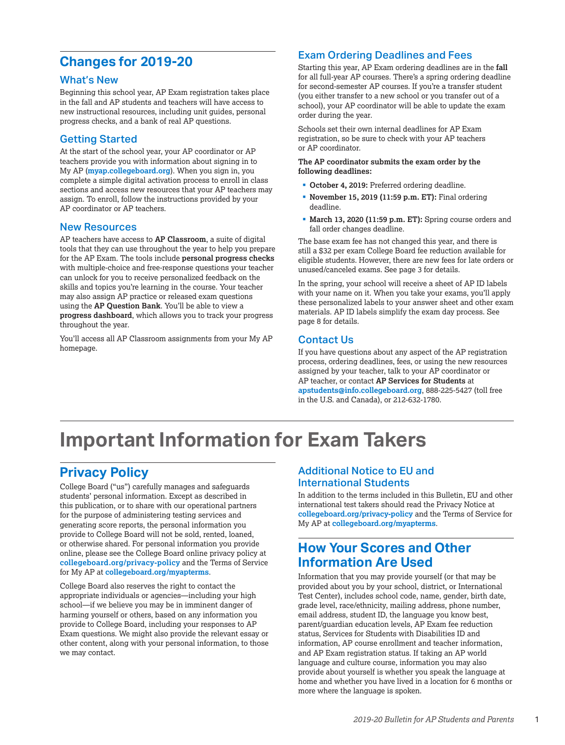## <span id="page-2-0"></span>**Changes for 2019-20**

### What's New

Beginning this school year, AP Exam registration takes place in the fall and AP students and teachers will have access to new instructional resources, including unit guides, personal progress checks, and a bank of real AP questions.

### Getting Started

At the start of the school year, your AP coordinator or AP teachers provide you with information about signing in to My AP (**[myap.collegeboard.org](https://myap.collegeboard.org/login)**). When you sign in, you complete a simple digital activation process to enroll in class sections and access new resources that your AP teachers may assign. To enroll, follow the instructions provided by your AP coordinator or AP teachers.

### New Resources

AP teachers have access to **AP Classroom**, a suite of digital tools that they can use throughout the year to help you prepare for the AP Exam. The tools include **personal progress checks** with multiple-choice and free-response questions your teacher can unlock for you to receive personalized feedback on the skills and topics you're learning in the course. Your teacher may also assign AP practice or released exam questions using the **AP Question Bank**. You'll be able to view a **progress dashboard**, which allows you to track your progress throughout the year.

You'll access all AP Classroom assignments from your My AP homepage.

### Exam Ordering Deadlines and Fees

Starting this year, AP Exam ordering deadlines are in the **fall** for all full-year AP courses. There's a spring ordering deadline for second-semester AP courses. If you're a transfer student (you either transfer to a new school or you transfer out of a school), your AP coordinator will be able to update the exam order during the year.

Schools set their own internal deadlines for AP Exam registration, so be sure to check with your AP teachers or AP coordinator.

#### **The AP coordinator submits the exam order by the following deadlines:**

- § **October 4, 2019:** Preferred ordering deadline.
- § **November 15, 2019 (11:59 p.m. ET):** Final ordering deadline.
- § **March 13, 2020 (11:59 p.m. ET):** Spring course orders and fall order changes deadline.

The base exam fee has not changed this year, and there is still a \$32 per exam College Board fee reduction available for eligible students. However, there are new fees for late orders or unused/canceled exams. See page 3 for details.

In the spring, your school will receive a sheet of AP ID labels with your name on it. When you take your exams, you'll apply these personalized labels to your answer sheet and other exam materials. AP ID labels simplify the exam day process. See page 8 for details.

### Contact Us

If you have questions about any aspect of the AP registration process, ordering deadlines, fees, or using the new resources assigned by your teacher, talk to your AP coordinator or AP teacher, or contact **AP Services for Students** at **[apstudents@info.collegeboard.org](mailto:apstudents%40info.collegeboard.org?subject=)**, 888-225-5427 (toll free in the U.S. and Canada), or 212-632-1780.

## **Important Information for Exam Takers**

## **Privacy Policy**

College Board ("us") carefully manages and safeguards students' personal information. Except as described in this publication, or to share with our operational partners for the purpose of administering testing services and generating score reports, the personal information you provide to College Board will not be sold, rented, loaned, or otherwise shared. For personal information you provide online, please see the College Board online privacy policy at **[collegeboard.org/privacy-policy](http://www.collegeboard.org/privacy-policy)** and the Terms of Service for My AP at **[collegeboard.org/myapterms](http://collegeboard.org/myapterms)**.

College Board also reserves the right to contact the appropriate individuals or agencies—including your high school—if we believe you may be in imminent danger of harming yourself or others, based on any information you provide to College Board, including your responses to AP Exam questions. We might also provide the relevant essay or other content, along with your personal information, to those we may contact.

### Additional Notice to EU and International Students

In addition to the terms included in this Bulletin, EU and other international test takers should read the Privacy Notice at **[collegeboard.org/privacy-policy](http://collegeboard.org/privacy-policy)** and the Terms of Service for My AP at **[collegeboard.org/myapterms](http://collegeboard.org/myapterms)**.

## **How Your Scores and Other Information Are Used**

Information that you may provide yourself (or that may be provided about you by your school, district, or International Test Center), includes school code, name, gender, birth date, grade level, race/ethnicity, mailing address, phone number, email address, student ID, the language you know best, parent/guardian education levels, AP Exam fee reduction status, Services for Students with Disabilities ID and information, AP course enrollment and teacher information, and AP Exam registration status. If taking an AP world language and culture course, information you may also provide about yourself is whether you speak the language at home and whether you have lived in a location for 6 months or more where the language is spoken.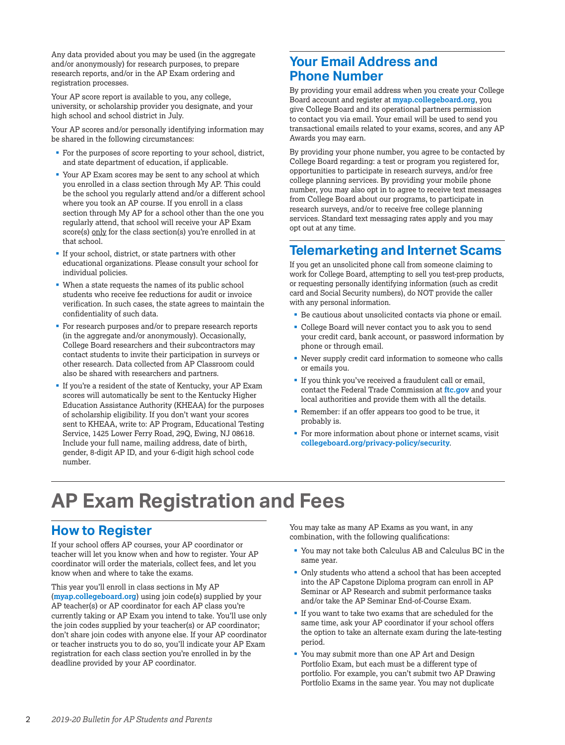<span id="page-3-0"></span>Any data provided about you may be used (in the aggregate and/or anonymously) for research purposes, to prepare research reports, and/or in the AP Exam ordering and registration processes.

Your AP score report is available to you, any college, university, or scholarship provider you designate, and your high school and school district in July.

Your AP scores and/or personally identifying information may be shared in the following circumstances:

- § For the purposes of score reporting to your school, district, and state department of education, if applicable.
- § Your AP Exam scores may be sent to any school at which you enrolled in a class section through My AP. This could be the school you regularly attend and/or a different school where you took an AP course. If you enroll in a class section through My AP for a school other than the one you regularly attend, that school will receive your AP Exam score(s) only for the class section(s) you're enrolled in at that school.
- § If your school, district, or state partners with other educational organizations. Please consult your school for individual policies.
- When a state requests the names of its public school students who receive fee reductions for audit or invoice verification. In such cases, the state agrees to maintain the confidentiality of such data.
- § For research purposes and/or to prepare research reports (in the aggregate and/or anonymously). Occasionally, College Board researchers and their subcontractors may contact students to invite their participation in surveys or other research. Data collected from AP Classroom could also be shared with researchers and partners.
- If you're a resident of the state of Kentucky, your AP Exam scores will automatically be sent to the Kentucky Higher Education Assistance Authority (KHEAA) for the purposes of scholarship eligibility. If you don't want your scores sent to KHEAA, write to: AP Program, Educational Testing Service, 1425 Lower Ferry Road, 29Q, Ewing, NJ 08618. Include your full name, mailing address, date of birth, gender, 8-digit AP ID, and your 6-digit high school code number.

## **Your Email Address and Phone Number**

By providing your email address when you create your College Board account and register at **[myap.collegeboard.org](https://myap.collegeboard.org/login)**, you give College Board and its operational partners permission to contact you via email. Your email will be used to send you transactional emails related to your exams, scores, and any AP Awards you may earn.

By providing your phone number, you agree to be contacted by College Board regarding: a test or program you registered for, opportunities to participate in research surveys, and/or free college planning services. By providing your mobile phone number, you may also opt in to agree to receive text messages from College Board about our programs, to participate in research surveys, and/or to receive free college planning services. Standard text messaging rates apply and you may opt out at any time.

## **Telemarketing and Internet Scams**

If you get an unsolicited phone call from someone claiming to work for College Board, attempting to sell you test-prep products, or requesting personally identifying information (such as credit card and Social Security numbers), do NOT provide the caller with any personal information.

- Be cautious about unsolicited contacts via phone or email.
- § College Board will never contact you to ask you to send your credit card, bank account, or password information by phone or through email.
- § Never supply credit card information to someone who calls or emails you.
- § If you think you've received a fraudulent call or email, contact the Federal Trade Commission at **[ftc.gov](https://www.ftc.gov)** and your local authorities and provide them with all the details.
- § Remember: if an offer appears too good to be true, it probably is.
- § For more information about phone or internet scams, visit **[collegeboard.org/privacy-policy/security](http://www.collegeboard.org/privacy-policy/security)**.

## **AP Exam Registration and Fees**

## **How to Register**

If your school offers AP courses, your AP coordinator or teacher will let you know when and how to register. Your AP coordinator will order the materials, collect fees, and let you know when and where to take the exams.

This year you'll enroll in class sections in My AP (**[myap.collegeboard.org](http://myap.collegeboard.org)**) using join code(s) supplied by your AP teacher(s) or AP coordinator for each AP class you're currently taking or AP Exam you intend to take. You'll use only the join codes supplied by your teacher(s) or AP coordinator; don't share join codes with anyone else. If your AP coordinator or teacher instructs you to do so, you'll indicate your AP Exam registration for each class section you're enrolled in by the deadline provided by your AP coordinator.

You may take as many AP Exams as you want, in any combination, with the following qualifications:

- § You may not take both Calculus AB and Calculus BC in the same year.
- § Only students who attend a school that has been accepted into the AP Capstone Diploma program can enroll in AP Seminar or AP Research and submit performance tasks and/or take the AP Seminar End-of-Course Exam.
- If you want to take two exams that are scheduled for the same time, ask your AP coordinator if your school offers the option to take an alternate exam during the late-testing period.
- § You may submit more than one AP Art and Design Portfolio Exam, but each must be a different type of portfolio. For example, you can't submit two AP Drawing Portfolio Exams in the same year. You may not duplicate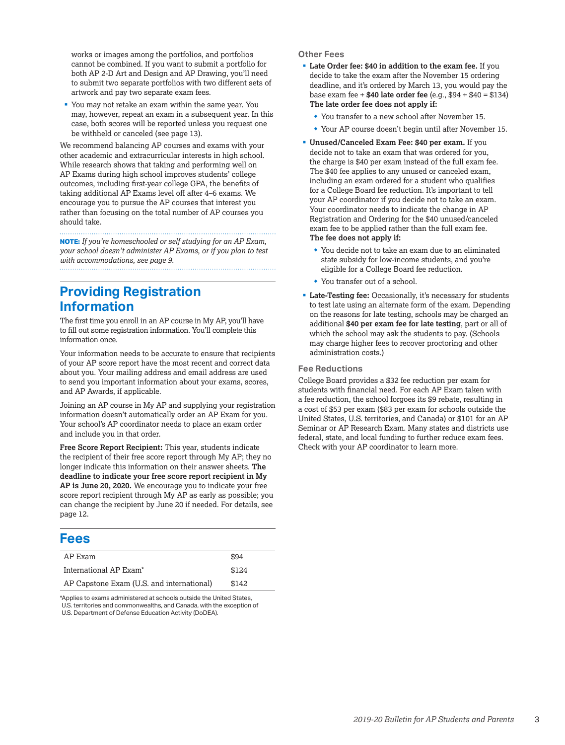works or images among the portfolios, and portfolios cannot be combined. If you want to submit a portfolio for both AP 2-D Art and Design and AP Drawing, you'll need to submit two separate portfolios with two different sets of artwork and pay two separate exam fees.

§ You may not retake an exam within the same year. You may, however, repeat an exam in a subsequent year. In this case, both scores will be reported unless you request one be withheld or canceled (see page 13).

We recommend balancing AP courses and exams with your other academic and extracurricular interests in high school. While research shows that taking and performing well on AP Exams during high school improves students' college outcomes, including first-year college GPA, the benefits of taking additional AP Exams level off after 4–6 exams. We encourage you to pursue the AP courses that interest you rather than focusing on the total number of AP courses you should take.

**NOTE:** *If you're homeschooled or self studying for an AP Exam, your school doesn't administer AP Exams, or if you plan to test with accommodations, see page 9.*

## **Providing Registration Information**

The first time you enroll in an AP course in My AP, you'll have to fill out some registration information. You'll complete this information once.

Your information needs to be accurate to ensure that recipients of your AP score report have the most recent and correct data about you. Your mailing address and email address are used to send you important information about your exams, scores, and AP Awards, if applicable.

Joining an AP course in My AP and supplying your registration information doesn't automatically order an AP Exam for you. Your school's AP coordinator needs to place an exam order and include you in that order.

**Free Score Report Recipient:** This year, students indicate the recipient of their free score report through My AP; they no longer indicate this information on their answer sheets. **The deadline to indicate your free score report recipient in My AP is June 20, 2020.** We encourage you to indicate your free score report recipient through My AP as early as possible; you can change the recipient by June 20 if needed. For details, see page 12.

## **Fees**

| AP Exam                                   | \$94  |
|-------------------------------------------|-------|
| International AP Exam <sup>*</sup>        | \$124 |
| AP Capstone Exam (U.S. and international) | \$142 |
|                                           |       |

\*Applies to exams administered at schools outside the United States, U.S. territories and commonwealths, and Canada, with the exception of U.S. Department of Defense Education Activity (DoDEA).

### **Other Fees**

- § **Late Order fee: \$40 in addition to the exam fee.** If you decide to take the exam after the November 15 ordering deadline, and it's ordered by March 13, you would pay the base exam fee + **\$40 late order fee** (e.g., \$94 + \$40 = \$134) **The late order fee does not apply if:** 
	- $*$  You transfer to a new school after November 15.
	- Your AP course doesn't begin until after November 15.
- § **Unused/Canceled Exam Fee: \$40 per exam.** If you decide not to take an exam that was ordered for you, the charge is \$40 per exam instead of the full exam fee. The \$40 fee applies to any unused or canceled exam, including an exam ordered for a student who qualifies for a College Board fee reduction. It's important to tell your AP coordinator if you decide not to take an exam. Your coordinator needs to indicate the change in AP Registration and Ordering for the \$40 unused/canceled exam fee to be applied rather than the full exam fee. **The fee does not apply if:**
	- You decide not to take an exam due to an eliminated state subsidy for low-income students, and you're eligible for a College Board fee reduction.
	- You transfer out of a school.
- § **Late-Testing fee:** Occasionally, it's necessary for students to test late using an alternate form of the exam. Depending on the reasons for late testing, schools may be charged an additional **\$40 per exam fee for late testing**, part or all of which the school may ask the students to pay. (Schools may charge higher fees to recover proctoring and other administration costs.)

### **Fee Reductions**

College Board provides a \$32 fee reduction per exam for students with financial need. For each AP Exam taken with a fee reduction, the school forgoes its \$9 rebate, resulting in a cost of \$53 per exam (\$83 per exam for schools outside the United States, U.S. territories, and Canada) or \$101 for an AP Seminar or AP Research Exam. Many states and districts use federal, state, and local funding to further reduce exam fees. Check with your AP coordinator to learn more.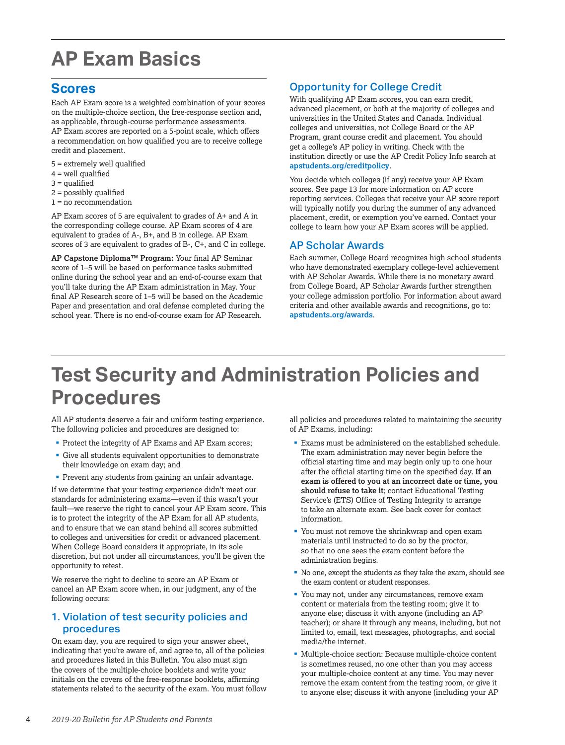## <span id="page-5-0"></span>**AP Exam Basics**

## **Scores**

Each AP Exam score is a weighted combination of your scores on the multiple-choice section, the free-response section and, as applicable, through-course performance assessments. AP Exam scores are reported on a 5-point scale, which offers a recommendation on how qualified you are to receive college credit and placement.

- $5 =$  extremely well qualified
- $4$  = well qualified
- $3 =$  qualified
- 2 = possibly qualified
- 1 = no recommendation

AP Exam scores of 5 are equivalent to grades of A+ and A in the corresponding college course. AP Exam scores of 4 are equivalent to grades of A-, B+, and B in college. AP Exam scores of 3 are equivalent to grades of B-, C+, and C in college.

**AP Capstone Diploma™ Program:** Your final AP Seminar score of 1–5 will be based on performance tasks submitted online during the school year and an end-of-course exam that you'll take during the AP Exam administration in May. Your final AP Research score of 1–5 will be based on the Academic Paper and presentation and oral defense completed during the school year. There is no end-of-course exam for AP Research.

## Opportunity for College Credit

With qualifying AP Exam scores, you can earn credit, advanced placement, or both at the majority of colleges and universities in the United States and Canada. Individual colleges and universities, not College Board or the AP Program, grant course credit and placement. You should get a college's AP policy in writing. Check with the institution directly or use the AP Credit Policy Info search at **[apstudents.org/creditpolicy](http://apstudents.org/creditpolicy)**.

You decide which colleges (if any) receive your AP Exam scores. See page 13 for more information on AP score reporting services. Colleges that receive your AP score report will typically notify you during the summer of any advanced placement, credit, or exemption you've earned. Contact your college to learn how your AP Exam scores will be applied.

### AP Scholar Awards

Each summer, College Board recognizes high school students who have demonstrated exemplary college-level achievement with AP Scholar Awards. While there is no monetary award from College Board, AP Scholar Awards further strengthen your college admission portfolio. For information about award criteria and other available awards and recognitions, go to: **[apstudents.org/awards](http://apstudents.org/awards)**.

## **Test Security and Administration Policies and Procedures**

All AP students deserve a fair and uniform testing experience. The following policies and procedures are designed to:

- Protect the integrity of AP Exams and AP Exam scores;
- § Give all students equivalent opportunities to demonstrate their knowledge on exam day; and
- § Prevent any students from gaining an unfair advantage.

If we determine that your testing experience didn't meet our standards for administering exams—even if this wasn't your fault—we reserve the right to cancel your AP Exam score. This is to protect the integrity of the AP Exam for all AP students, and to ensure that we can stand behind all scores submitted to colleges and universities for credit or advanced placement. When College Board considers it appropriate, in its sole discretion, but not under all circumstances, you'll be given the opportunity to retest.

We reserve the right to decline to score an AP Exam or cancel an AP Exam score when, in our judgment, any of the following occurs:

### 1. Violation of test security policies and procedures

On exam day, you are required to sign your answer sheet, indicating that you're aware of, and agree to, all of the policies and procedures listed in this Bulletin. You also must sign the covers of the multiple-choice booklets and write your initials on the covers of the free-response booklets, affirming statements related to the security of the exam. You must follow all policies and procedures related to maintaining the security of AP Exams, including:

- Exams must be administered on the established schedule. The exam administration may never begin before the official starting time and may begin only up to one hour after the official starting time on the specified day. **If an exam is offered to you at an incorrect date or time, you should refuse to take it**; contact Educational Testing Service's (ETS) Office of Testing Integrity to arrange to take an alternate exam. See back cover for contact information.
- § You must not remove the shrinkwrap and open exam materials until instructed to do so by the proctor, so that no one sees the exam content before the administration begins.
- § No one, except the students as they take the exam, should see the exam content or student responses.
- § You may not, under any circumstances, remove exam content or materials from the testing room; give it to anyone else; discuss it with anyone (including an AP teacher); or share it through any means, including, but not limited to, email, text messages, photographs, and social media/the internet.
- § Multiple-choice section: Because multiple-choice content is sometimes reused, no one other than you may access your multiple-choice content at any time. You may never remove the exam content from the testing room, or give it to anyone else; discuss it with anyone (including your AP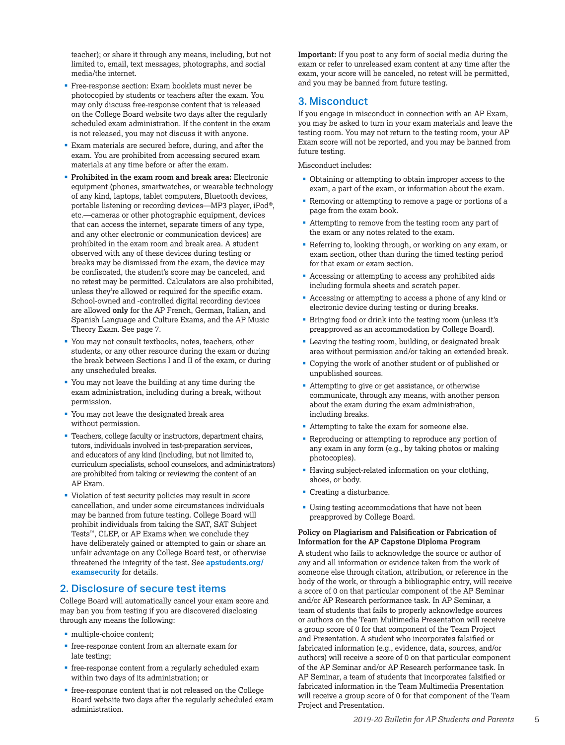teacher); or share it through any means, including, but not limited to, email, text messages, photographs, and social media/the internet.

- Free-response section: Exam booklets must never be photocopied by students or teachers after the exam. You may only discuss free-response content that is released on the College Board website two days after the regularly scheduled exam administration. If the content in the exam is not released, you may not discuss it with anyone.
- Exam materials are secured before, during, and after the exam. You are prohibited from accessing secured exam materials at any time before or after the exam.
- § **Prohibited in the exam room and break area:** Electronic equipment (phones, smartwatches, or wearable technology of any kind, laptops, tablet computers, Bluetooth devices, portable listening or recording devices—MP3 player, iPod®, etc.—cameras or other photographic equipment, devices that can access the internet, separate timers of any type, and any other electronic or communication devices) are prohibited in the exam room and break area. A student observed with any of these devices during testing or breaks may be dismissed from the exam, the device may be confiscated, the student's score may be canceled, and no retest may be permitted. Calculators are also prohibited, unless they're allowed or required for the specific exam. School-owned and -controlled digital recording devices are allowed **only** for the AP French, German, Italian, and Spanish Language and Culture Exams, and the AP Music Theory Exam. See page 7.
- § You may not consult textbooks, notes, teachers, other students, or any other resource during the exam or during the break between Sections I and II of the exam, or during any unscheduled breaks.
- § You may not leave the building at any time during the exam administration, including during a break, without permission.
- § You may not leave the designated break area without permission.
- Teachers, college faculty or instructors, department chairs, tutors, individuals involved in test-preparation services, and educators of any kind (including, but not limited to, curriculum specialists, school counselors, and administrators) are prohibited from taking or reviewing the content of an AP Exam.
- § Violation of test security policies may result in score cancellation, and under some circumstances individuals may be banned from future testing. College Board will prohibit individuals from taking the SAT, SAT Subject Tests<sup>™</sup>, CLEP, or AP Exams when we conclude they have deliberately gained or attempted to gain or share an unfair advantage on any College Board test, or otherwise threatened the integrity of the test. See **[apstudents.org/](http://apstudents.org/examsecurity) [examsecurity](http://apstudents.org/examsecurity)** for details.

### 2. Disclosure of secure test items

College Board will automatically cancel your exam score and may ban you from testing if you are discovered disclosing through any means the following:

- § multiple-choice content;
- **•** free-response content from an alternate exam for late testing;
- free-response content from a regularly scheduled exam within two days of its administration; or
- free-response content that is not released on the College Board website two days after the regularly scheduled exam administration.

**Important:** If you post to any form of social media during the exam or refer to unreleased exam content at any time after the exam, your score will be canceled, no retest will be permitted, and you may be banned from future testing.

### 3. Misconduct

If you engage in misconduct in connection with an AP Exam, you may be asked to turn in your exam materials and leave the testing room. You may not return to the testing room, your AP Exam score will not be reported, and you may be banned from future testing.

Misconduct includes:

- Obtaining or attempting to obtain improper access to the exam, a part of the exam, or information about the exam.
- § Removing or attempting to remove a page or portions of a page from the exam book.
- § Attempting to remove from the testing room any part of the exam or any notes related to the exam.
- Referring to, looking through, or working on any exam, or exam section, other than during the timed testing period for that exam or exam section.
- § Accessing or attempting to access any prohibited aids including formula sheets and scratch paper.
- Accessing or attempting to access a phone of any kind or electronic device during testing or during breaks.
- § Bringing food or drink into the testing room (unless it's preapproved as an accommodation by College Board).
- § Leaving the testing room, building, or designated break area without permission and/or taking an extended break.
- § Copying the work of another student or of published or unpublished sources.
- § Attempting to give or get assistance, or otherwise communicate, through any means, with another person about the exam during the exam administration, including breaks.
- Attempting to take the exam for someone else.
- § Reproducing or attempting to reproduce any portion of any exam in any form (e.g., by taking photos or making photocopies).
- § Having subject-related information on your clothing, shoes, or body.
- Creating a disturbance.
- Using testing accommodations that have not been preapproved by College Board.

#### **Policy on Plagiarism and Falsification or Fabrication of Information for the AP Capstone Diploma Program**

A student who fails to acknowledge the source or author of any and all information or evidence taken from the work of someone else through citation, attribution, or reference in the body of the work, or through a bibliographic entry, will receive a score of 0 on that particular component of the AP Seminar and/or AP Research performance task. In AP Seminar, a team of students that fails to properly acknowledge sources or authors on the Team Multimedia Presentation will receive a group score of 0 for that component of the Team Project and Presentation. A student who incorporates falsified or fabricated information (e.g., evidence, data, sources, and/or authors) will receive a score of 0 on that particular component of the AP Seminar and/or AP Research performance task. In AP Seminar, a team of students that incorporates falsified or fabricated information in the Team Multimedia Presentation will receive a group score of 0 for that component of the Team Project and Presentation.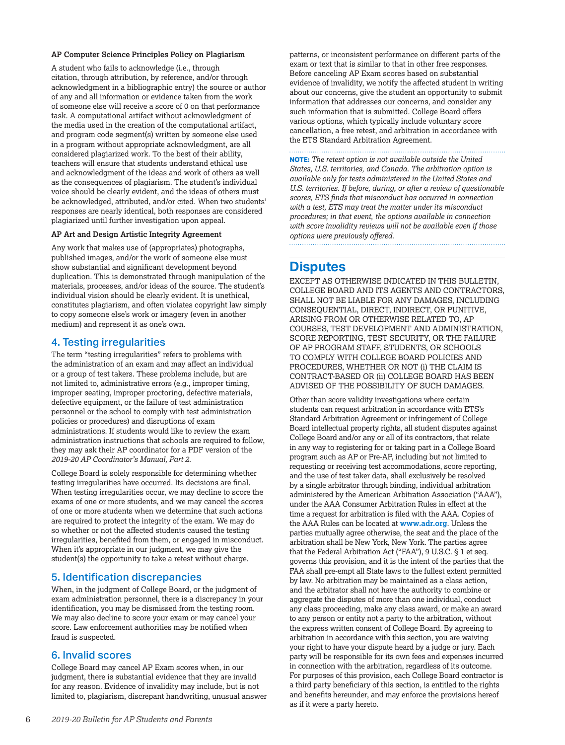#### **AP Computer Science Principles Policy on Plagiarism**

A student who fails to acknowledge (i.e., through citation, through attribution, by reference, and/or through acknowledgment in a bibliographic entry) the source or author of any and all information or evidence taken from the work of someone else will receive a score of 0 on that performance task. A computational artifact without acknowledgment of the media used in the creation of the computational artifact, and program code segment(s) written by someone else used in a program without appropriate acknowledgment, are all considered plagiarized work. To the best of their ability, teachers will ensure that students understand ethical use and acknowledgment of the ideas and work of others as well as the consequences of plagiarism. The student's individual voice should be clearly evident, and the ideas of others must be acknowledged, attributed, and/or cited. When two students' responses are nearly identical, both responses are considered plagiarized until further investigation upon appeal.

### **AP Art and Design Artistic Integrity Agreement**

Any work that makes use of (appropriates) photographs, published images, and/or the work of someone else must show substantial and significant development beyond duplication. This is demonstrated through manipulation of the materials, processes, and/or ideas of the source. The student's individual vision should be clearly evident. It is unethical, constitutes plagiarism, and often violates copyright law simply to copy someone else's work or imagery (even in another medium) and represent it as one's own.

### 4. Testing irregularities

The term "testing irregularities" refers to problems with the administration of an exam and may affect an individual or a group of test takers. These problems include, but are not limited to, administrative errors (e.g., improper timing, improper seating, improper proctoring, defective materials, defective equipment, or the failure of test administration personnel or the school to comply with test administration policies or procedures) and disruptions of exam administrations. If students would like to review the exam administration instructions that schools are required to follow, they may ask their AP coordinator for a PDF version of the *2019-20 AP Coordinator's Manual, Part 2.*

College Board is solely responsible for determining whether testing irregularities have occurred. Its decisions are final. When testing irregularities occur, we may decline to score the exams of one or more students, and we may cancel the scores of one or more students when we determine that such actions are required to protect the integrity of the exam. We may do so whether or not the affected students caused the testing irregularities, benefited from them, or engaged in misconduct. When it's appropriate in our judgment, we may give the student(s) the opportunity to take a retest without charge.

### 5. Identification discrepancies

When, in the judgment of College Board, or the judgment of exam administration personnel, there is a discrepancy in your identification, you may be dismissed from the testing room. We may also decline to score your exam or may cancel your score. Law enforcement authorities may be notified when fraud is suspected.

### 6. Invalid scores

College Board may cancel AP Exam scores when, in our judgment, there is substantial evidence that they are invalid for any reason. Evidence of invalidity may include, but is not limited to, plagiarism, discrepant handwriting, unusual answer patterns, or inconsistent performance on different parts of the exam or text that is similar to that in other free responses. Before canceling AP Exam scores based on substantial evidence of invalidity, we notify the affected student in writing about our concerns, give the student an opportunity to submit information that addresses our concerns, and consider any such information that is submitted. College Board offers various options, which typically include voluntary score cancellation, a free retest, and arbitration in accordance with the ETS Standard Arbitration Agreement.

**NOTE:** *The retest option is not available outside the United States, U.S. territories, and Canada. The arbitration option is available only for tests administered in the United States and U.S. territories. If before, during, or after a review of questionable scores, ETS finds that misconduct has occurred in connection with a test, ETS may treat the matter under its misconduct procedures; in that event, the options available in connection with score invalidity reviews will not be available even if those options were previously offered.* 

## **Disputes**

EXCEPT AS OTHERWISE INDICATED IN THIS BULLETIN*,* COLLEGE BOARD AND ITS AGENTS AND CONTRACTORS, SHALL NOT BE LIABLE FOR ANY DAMAGES, INCLUDING CONSEQUENTIAL, DIRECT, INDIRECT, OR PUNITIVE, ARISING FROM OR OTHERWISE RELATED TO, AP COURSES, TEST DEVELOPMENT AND ADMINISTRATION, SCORE REPORTING, TEST SECURITY, OR THE FAILURE OF AP PROGRAM STAFF, STUDENTS, OR SCHOOLS TO COMPLY WITH COLLEGE BOARD POLICIES AND PROCEDURES, WHETHER OR NOT (i) THE CLAIM IS CONTRACT-BASED OR (ii) COLLEGE BOARD HAS BEEN ADVISED OF THE POSSIBILITY OF SUCH DAMAGES.

Other than score validity investigations where certain students can request arbitration in accordance with ETS's Standard Arbitration Agreement or infringement of College Board intellectual property rights, all student disputes against College Board and/or any or all of its contractors, that relate in any way to registering for or taking part in a College Board program such as AP or Pre-AP, including but not limited to requesting or receiving test accommodations, score reporting, and the use of test taker data, shall exclusively be resolved by a single arbitrator through binding, individual arbitration administered by the American Arbitration Association ("AAA"), under the AAA Consumer Arbitration Rules in effect at the time a request for arbitration is filed with the AAA. Copies of the AAA Rules can be located at **[www.adr.org](https://www.adr.org)**. Unless the parties mutually agree otherwise, the seat and the place of the arbitration shall be New York, New York. The parties agree that the Federal Arbitration Act ("FAA"), 9 U.S.C. § 1 et seq. governs this provision, and it is the intent of the parties that the FAA shall pre-empt all State laws to the fullest extent permitted by law. No arbitration may be maintained as a class action, and the arbitrator shall not have the authority to combine or aggregate the disputes of more than one individual, conduct any class proceeding, make any class award, or make an award to any person or entity not a party to the arbitration, without the express written consent of College Board. By agreeing to arbitration in accordance with this section, you are waiving your right to have your dispute heard by a judge or jury. Each party will be responsible for its own fees and expenses incurred in connection with the arbitration, regardless of its outcome. For purposes of this provision, each College Board contractor is a third party beneficiary of this section, is entitled to the rights and benefits hereunder, and may enforce the provisions hereof as if it were a party hereto.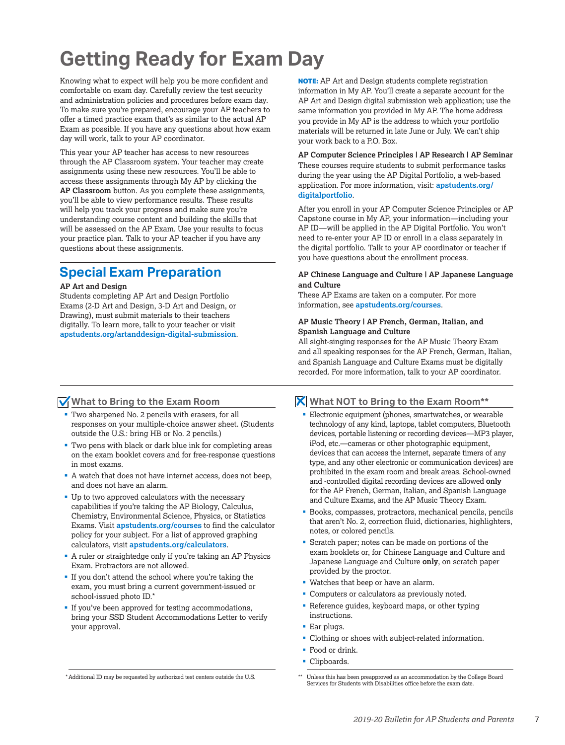## <span id="page-8-0"></span>**Getting Ready for Exam Day**

Knowing what to expect will help you be more confident and comfortable on exam day. Carefully review the test security and administration policies and procedures before exam day. To make sure you're prepared, encourage your AP teachers to offer a timed practice exam that's as similar to the actual AP Exam as possible. If you have any questions about how exam day will work, talk to your AP coordinator.

This year your AP teacher has access to new resources through the AP Classroom system. Your teacher may create assignments using these new resources. You'll be able to access these assignments through My AP by clicking the **AP Classroom** button. As you complete these assignments, you'll be able to view performance results. These results will help you track your progress and make sure you're understanding course content and building the skills that will be assessed on the AP Exam. Use your results to focus your practice plan. Talk to your AP teacher if you have any questions about these assignments.

## **Special Exam Preparation**

#### **AP Art and Design**

Students completing AP Art and Design Portfolio Exams (2-D Art and Design, 3-D Art and Design, or Drawing), must submit materials to their teachers digitally. To learn more, talk to your teacher or visit **[apstudents.org/artanddesign-digital-submission](http://apstudents.org/artanddesign-digital-submission)**. **NOTE:** AP Art and Design students complete registration information in My AP. You'll create a separate account for the AP Art and Design digital submission web application; use the same information you provided in My AP. The home address you provide in My AP is the address to which your portfolio materials will be returned in late June or July. We can't ship your work back to a P.O. Box.

**AP Computer Science Principles | AP Research | AP Seminar** These courses require students to submit performance tasks during the year using the AP Digital Portfolio, a web-based application. For more information, visit: **[apstudents.org/](http://apstudents.org/digitalportfolio) [digitalportfolio](http://apstudents.org/digitalportfolio)**.

After you enroll in your AP Computer Science Principles or AP Capstone course in My AP, your information—including your AP ID—will be applied in the AP Digital Portfolio. You won't need to re-enter your AP ID or enroll in a class separately in the digital portfolio. Talk to your AP coordinator or teacher if you have questions about the enrollment process.

#### **AP Chinese Language and Culture | AP Japanese Language and Culture**

These AP Exams are taken on a computer. For more information, see **[apstudents.org/courses](http://apstudents.org/courses)**.

#### **AP Music Theory | AP French, German, Italian, and Spanish Language and Culture**

All sight-singing responses for the AP Music Theory Exam and all speaking responses for the AP French, German, Italian, and Spanish Language and Culture Exams must be digitally recorded. For more information, talk to your AP coordinator.

### **What to Bring to the Exam Room**

- § Two sharpened No. 2 pencils with erasers, for all responses on your multiple-choice answer sheet. (Students outside the U.S.: bring HB or No. 2 pencils.)
- § Two pens with black or dark blue ink for completing areas on the exam booklet covers and for free-response questions in most exams.
- § A watch that does not have internet access, does not beep, and does not have an alarm.
- Up to two approved calculators with the necessary capabilities if you're taking the AP Biology, Calculus, Chemistry, Environmental Science, Physics, or Statistics Exams. Visit **[apstudents.org/courses](http://apstudents.org/courses)** to find the calculator policy for your subject. For a list of approved graphing calculators, visit **[apstudents.org/calculators](http://apstudents.org/calculators)**.
- § A ruler or straightedge only if you're taking an AP Physics Exam. Protractors are not allowed.
- § If you don't attend the school where you're taking the exam, you must bring a current government-issued or school-issued photo ID.\*
- If you've been approved for testing accommodations, bring your SSD Student Accommodations Letter to verify your approval.

### **What NOT to Bring to the Exam Room\*\***

- Electronic equipment (phones, smartwatches, or wearable technology of any kind, laptops, tablet computers, Bluetooth devices, portable listening or recording devices—MP3 player, iPod, etc.—cameras or other photographic equipment, devices that can access the internet, separate timers of any type, and any other electronic or communication devices) are prohibited in the exam room and break areas. School-owned and -controlled digital recording devices are allowed **only** for the AP French, German, Italian, and Spanish Language and Culture Exams, and the AP Music Theory Exam.
- Books, compasses, protractors, mechanical pencils, pencils that aren't No. 2, correction fluid, dictionaries, highlighters, notes, or colored pencils.
- § Scratch paper; notes can be made on portions of the exam booklets or, for Chinese Language and Culture and Japanese Language and Culture **only**, on scratch paper provided by the proctor.
- § Watches that beep or have an alarm.
- § Computers or calculators as previously noted.
- Reference guides, keyboard maps, or other typing instructions.
- Ear plugs.
- § Clothing or shoes with subject-related information.
- Food or drink.
- Clipboards.

<sup>\*</sup>Additional ID may be requested by authorized test centers outside the U.S.

<sup>\*\*</sup> Unless this has been preapproved as an accommodation by the College Board Services for Students with Disabilities office before the exam date.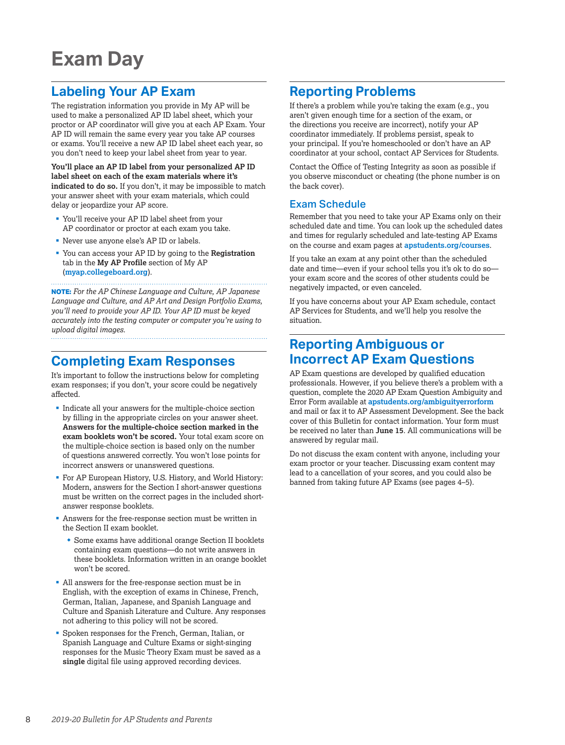## <span id="page-9-0"></span>**Exam Day**

## **Labeling Your AP Exam**

The registration information you provide in My AP will be used to make a personalized AP ID label sheet, which your proctor or AP coordinator will give you at each AP Exam. Your AP ID will remain the same every year you take AP courses or exams. You'll receive a new AP ID label sheet each year, so you don't need to keep your label sheet from year to year.

**You'll place an AP ID label from your personalized AP ID label sheet on each of the exam materials where it's indicated to do so.** If you don't, it may be impossible to match your answer sheet with your exam materials, which could delay or jeopardize your AP score.

- § You'll receive your AP ID label sheet from your AP coordinator or proctor at each exam you take.
- § Never use anyone else's AP ID or labels.
- § You can access your AP ID by going to the **Registration** tab in the **My AP Profile** section of My AP (**[myap.collegeboard.org](http://myap.collegeboard.org)**).

**NOTE:** *For the AP Chinese Language and Culture, AP Japanese Language and Culture, and AP Art and Design Portfolio Exams, you'll need to provide your AP ID. Your AP ID must be keyed accurately into the testing computer or computer you're using to upload digital images.* 

## **Completing Exam Responses**

It's important to follow the instructions below for completing exam responses; if you don't, your score could be negatively affected.

- § Indicate all your answers for the multiple-choice section by filling in the appropriate circles on your answer sheet. **Answers for the multiple-choice section marked in the exam booklets won't be scored.** Your total exam score on the multiple-choice section is based only on the number of questions answered correctly. You won't lose points for incorrect answers or unanswered questions.
- § For AP European History, U.S. History, and World History: Modern, answers for the Section I short-answer questions must be written on the correct pages in the included shortanswer response booklets.
- § Answers for the free-response section must be written in the Section II exam booklet.
	- Some exams have additional orange Section II booklets containing exam questions—do not write answers in these booklets. Information written in an orange booklet won't be scored.
- § All answers for the free-response section must be in English, with the exception of exams in Chinese, French, German, Italian, Japanese, and Spanish Language and Culture and Spanish Literature and Culture. Any responses not adhering to this policy will not be scored.
- § Spoken responses for the French, German, Italian, or Spanish Language and Culture Exams or sight-singing responses for the Music Theory Exam must be saved as a **single** digital file using approved recording devices.

## **Reporting Problems**

If there's a problem while you're taking the exam (e.g., you aren't given enough time for a section of the exam, or the directions you receive are incorrect), notify your AP coordinator immediately. If problems persist, speak to your principal. If you're homeschooled or don't have an AP coordinator at your school, contact AP Services for Students.

Contact the Office of Testing Integrity as soon as possible if you observe misconduct or cheating (the phone number is on the back cover).

### Exam Schedule

Remember that you need to take your AP Exams only on their scheduled date and time. You can look up the scheduled dates and times for regularly scheduled and late-testing AP Exams on the course and exam pages at **[apstudents.org/courses](http://apstudents.org/courses)**.

If you take an exam at any point other than the scheduled date and time—even if your school tells you it's ok to do so your exam score and the scores of other students could be negatively impacted, or even canceled.

If you have concerns about your AP Exam schedule, contact AP Services for Students, and we'll help you resolve the situation.

## **Reporting Ambiguous or Incorrect AP Exam Questions**

AP Exam questions are developed by qualified education professionals. However, if you believe there's a problem with a question, complete the 2020 AP Exam Question Ambiguity and Error Form available at **[apstudents.org/ambiguityerrorform](http://apstudents.org/ambiguityerrorform)** and mail or fax it to AP Assessment Development. See the back cover of this Bulletin for contact information. Your form must be received no later than **June 15**. All communications will be answered by regular mail.

Do not discuss the exam content with anyone, including your exam proctor or your teacher. Discussing exam content may lead to a cancellation of your scores, and you could also be banned from taking future AP Exams (see pages 4–5).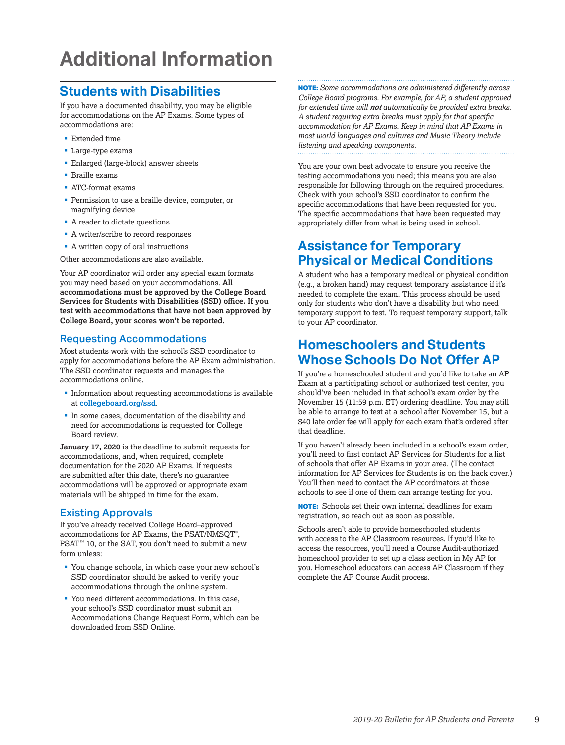## <span id="page-10-0"></span>**Additional Information**

## **Students with Disabilities**

If you have a documented disability, you may be eligible for accommodations on the AP Exams. Some types of accommodations are:

- Extended time
- § Large-type exams
- § Enlarged (large-block) answer sheets
- § Braille exams
- § ATC-format exams
- § Permission to use a braille device, computer, or magnifying device
- A reader to dictate questions
- § A writer/scribe to record responses
- A written copy of oral instructions

Other accommodations are also available.

Your AP coordinator will order any special exam formats you may need based on your accommodations. **All accommodations must be approved by the College Board Services for Students with Disabilities (SSD) office. If you test with accommodations that have not been approved by College Board, your scores won't be reported.**

### Requesting Accommodations

Most students work with the school's SSD coordinator to apply for accommodations before the AP Exam administration. The SSD coordinator requests and manages the accommodations online.

- Information about requesting accommodations is available at **[collegeboard.org/ssd](http://www.collegeboard.org/ssd)**.
- § In some cases, documentation of the disability and need for accommodations is requested for College Board review.

**January 17, 2020** is the deadline to submit requests for accommodations, and, when required, complete documentation for the 2020 AP Exams. If requests are submitted after this date, there's no guarantee accommodations will be approved or appropriate exam materials will be shipped in time for the exam.

### Existing Approvals

If you've already received College Board–approved accommodations for AP Exams, the PSAT/NMSQT® , PSAT<sup>™</sup> 10, or the SAT, you don't need to submit a new form unless:

- § You change schools, in which case your new school's SSD coordinator should be asked to verify your accommodations through the online system.
- You need different accommodations. In this case, your school's SSD coordinator **must** submit an Accommodations Change Request Form, which can be downloaded from SSD Online.

**NOTE:** *Some accommodations are administered differently across College Board programs. For example, for AP, a student approved for extended time will not automatically be provided extra breaks. A student requiring extra breaks must apply for that specific accommodation for AP Exams. Keep in mind that AP Exams in most world languages and cultures and Music Theory include listening and speaking components.*

You are your own best advocate to ensure you receive the testing accommodations you need; this means you are also responsible for following through on the required procedures. Check with your school's SSD coordinator to confirm the specific accommodations that have been requested for you. The specific accommodations that have been requested may appropriately differ from what is being used in school.

## **Assistance for Temporary Physical or Medical Conditions**

A student who has a temporary medical or physical condition (e.g., a broken hand) may request temporary assistance if it's needed to complete the exam. This process should be used only for students who don't have a disability but who need temporary support to test. To request temporary support, talk to your AP coordinator.

## **Homeschoolers and Students Whose Schools Do Not Offer AP**

If you're a homeschooled student and you'd like to take an AP Exam at a participating school or authorized test center, you should've been included in that school's exam order by the November 15 (11:59 p.m. ET) ordering deadline. You may still be able to arrange to test at a school after November 15, but a \$40 late order fee will apply for each exam that's ordered after that deadline.

If you haven't already been included in a school's exam order, you'll need to first contact AP Services for Students for a list of schools that offer AP Exams in your area. (The contact information for AP Services for Students is on the back cover.) You'll then need to contact the AP coordinators at those schools to see if one of them can arrange testing for you.

**NOTE:** Schools set their own internal deadlines for exam registration, so reach out as soon as possible.

Schools aren't able to provide homeschooled students with access to the AP Classroom resources. If you'd like to access the resources, you'll need a Course Audit-authorized homeschool provider to set up a class section in My AP for you. Homeschool educators can access AP Classroom if they complete the AP Course Audit process.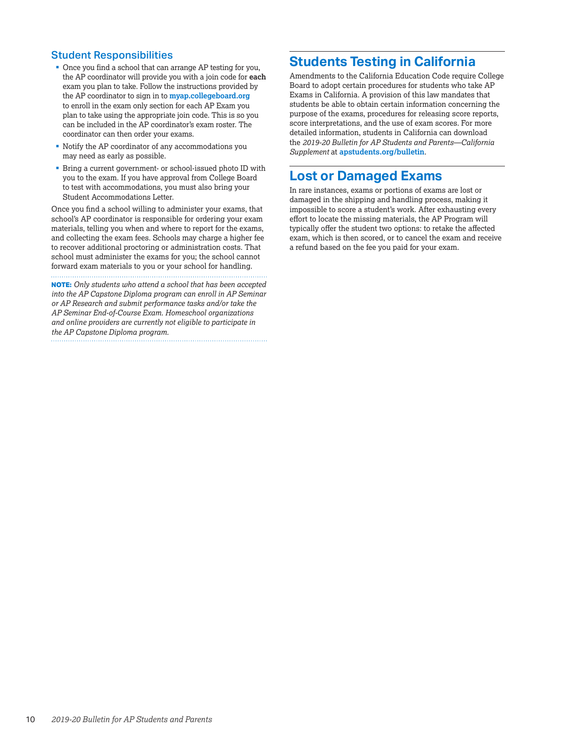### Student Responsibilities

- Once you find a school that can arrange AP testing for you, the AP coordinator will provide you with a join code for **each** exam you plan to take. Follow the instructions provided by the AP coordinator to sign in to **[myap.collegeboard.org](https://myap.collegeboard.org/login)** to enroll in the exam only section for each AP Exam you plan to take using the appropriate join code. This is so you can be included in the AP coordinator's exam roster. The coordinator can then order your exams.
- § Notify the AP coordinator of any accommodations you may need as early as possible.
- Bring a current government- or school-issued photo ID with you to the exam. If you have approval from College Board to test with accommodations, you must also bring your Student Accommodations Letter.

Once you find a school willing to administer your exams, that school's AP coordinator is responsible for ordering your exam materials, telling you when and where to report for the exams, and collecting the exam fees. Schools may charge a higher fee to recover additional proctoring or administration costs. That school must administer the exams for you; the school cannot forward exam materials to you or your school for handling.

**NOTE:** *Only students who attend a school that has been accepted into the AP Capstone Diploma program can enroll in AP Seminar or AP Research and submit performance tasks and/or take the AP Seminar End-of-Course Exam. Homeschool organizations and online providers are currently not eligible to participate in the AP Capstone Diploma program.*

## **Students Testing in California**

Amendments to the California Education Code require College Board to adopt certain procedures for students who take AP Exams in California. A provision of this law mandates that students be able to obtain certain information concerning the purpose of the exams, procedures for releasing score reports, score interpretations, and the use of exam scores. For more detailed information, students in California can download the *2019-20 Bulletin for AP Students and Parents—California Supplement* at **[apstudents.org/bulletin](http://apstudents.org/bulletin)**.

## **Lost or Damaged Exams**

In rare instances, exams or portions of exams are lost or damaged in the shipping and handling process, making it impossible to score a student's work. After exhausting every effort to locate the missing materials, the AP Program will typically offer the student two options: to retake the affected exam, which is then scored, or to cancel the exam and receive a refund based on the fee you paid for your exam.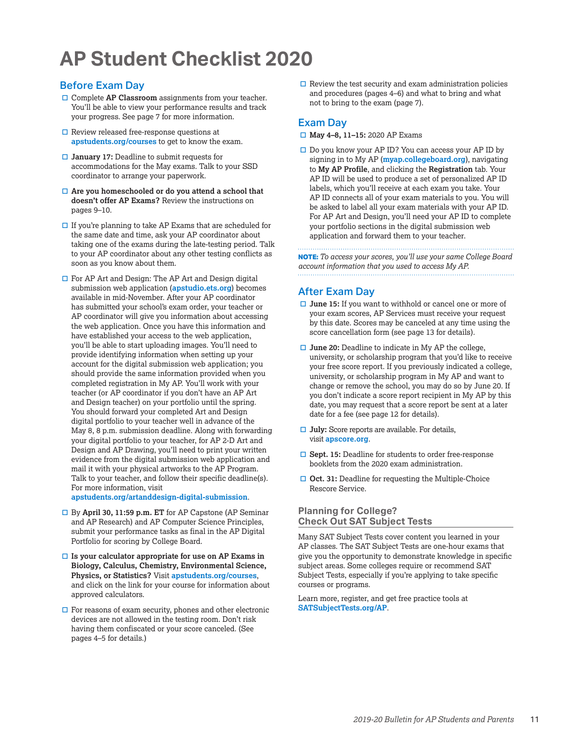## <span id="page-12-0"></span>**AP Student Checklist 2020**

### Before Exam Day

- □ Complete **AP Classroom** assignments from your teacher. You'll be able to view your performance results and track your progress. See page 7 for more information.
- $\square$  Review released free-response questions at **[apstudents.org/courses](http://apstudents.org/courses)** to get to know the exam.
- □ January 17: Deadline to submit requests for accommodations for the May exams. Talk to your SSD coordinator to arrange your paperwork.
- □ Are you homeschooled or do you attend a school that **doesn't offer AP Exams?** Review the instructions on pages 9–10.
- $\Box$  If you're planning to take AP Exams that are scheduled for the same date and time, ask your AP coordinator about taking one of the exams during the late-testing period. Talk to your AP coordinator about any other testing conflicts as soon as you know about them.
- $\Box$  For AP Art and Design: The AP Art and Design digital submission web application (**[apstudio.ets.org](http://apstudio.ets.org)**) becomes available in mid-November. After your AP coordinator has submitted your school's exam order, your teacher or AP coordinator will give you information about accessing the web application. Once you have this information and have established your access to the web application, you'll be able to start uploading images. You'll need to provide identifying information when setting up your account for the digital submission web application; you should provide the same information provided when you completed registration in My AP. You'll work with your teacher (or AP coordinator if you don't have an AP Art and Design teacher) on your portfolio until the spring. You should forward your completed Art and Design digital portfolio to your teacher well in advance of the May 8, 8 p.m. submission deadline. Along with forwarding your digital portfolio to your teacher, for AP 2-D Art and Design and AP Drawing, you'll need to print your written evidence from the digital submission web application and mail it with your physical artworks to the AP Program. Talk to your teacher, and follow their specific deadline(s). For more information, visit

**[apstudents.org/artanddesign-digital-submission](http://apstudents.org/artanddesign-digital-submission)**.

- □ By **April 30, 11:59 p.m. ET** for AP Capstone (AP Seminar and AP Research) and AP Computer Science Principles, submit your performance tasks as final in the AP Digital Portfolio for scoring by College Board.
- $\Box$  Is your calculator appropriate for use on AP Exams in **Biology, Calculus, Chemistry, Environmental Science, Physics, or Statistics?** Visit **[apstudents.org/courses](http://apstudents.org/courses)**, and click on the link for your course for information about approved calculators.
- $\Box$  For reasons of exam security, phones and other electronic devices are not allowed in the testing room. Don't risk having them confiscated or your score canceled. (See pages 4–5 for details.)

 $\Box$  Review the test security and exam administration policies and procedures (pages 4–6) and what to bring and what not to bring to the exam (page 7).

### Exam Day

- □ May 4-8, 11-15: 2020 AP Exams
- $\Box$  Do you know your AP ID? You can access your AP ID by signing in to My AP (**[myap.collegeboard.org](http://myap.collegeboard.org)**), navigating to **My AP Profile**, and clicking the **Registration** tab. Your AP ID will be used to produce a set of personalized AP ID labels, which you'll receive at each exam you take. Your AP ID connects all of your exam materials to you. You will be asked to label all your exam materials with your AP ID. For AP Art and Design, you'll need your AP ID to complete your portfolio sections in the digital submission web application and forward them to your teacher.

**NOTE:** *To access your scores, you'll use your same College Board account information that you used to access My AP.* 

## After Exam Day

- **□ June 15:** If you want to withhold or cancel one or more of your exam scores, AP Services must receive your request by this date. Scores may be canceled at any time using the score cancellation form (see page 13 for details).
- **□ June 20:** Deadline to indicate in My AP the college, university, or scholarship program that you'd like to receive your free score report. If you previously indicated a college, university, or scholarship program in My AP and want to change or remove the school, you may do so by June 20. If you don't indicate a score report recipient in My AP by this date, you may request that a score report be sent at a later date for a fee (see page 12 for details).
- $\Box$  **July:** Score reports are available. For details, visit **[apscore.org](http://apscore.org)**.
- **□ Sept. 15:** Deadline for students to order free-response booklets from the 2020 exam administration.
- **□ Oct. 31:** Deadline for requesting the Multiple-Choice Rescore Service.

### **Planning for College? Check Out SAT Subject Tests**

Many SAT Subject Tests cover content you learned in your AP classes. The SAT Subject Tests are one-hour exams that give you the opportunity to demonstrate knowledge in specific subject areas. Some colleges require or recommend SAT Subject Tests, especially if you're applying to take specific courses or programs.

Learn more, register, and get free practice tools at **[SATSubjectTests.org/AP](http://www.SATSubjectTests.org/AP)**.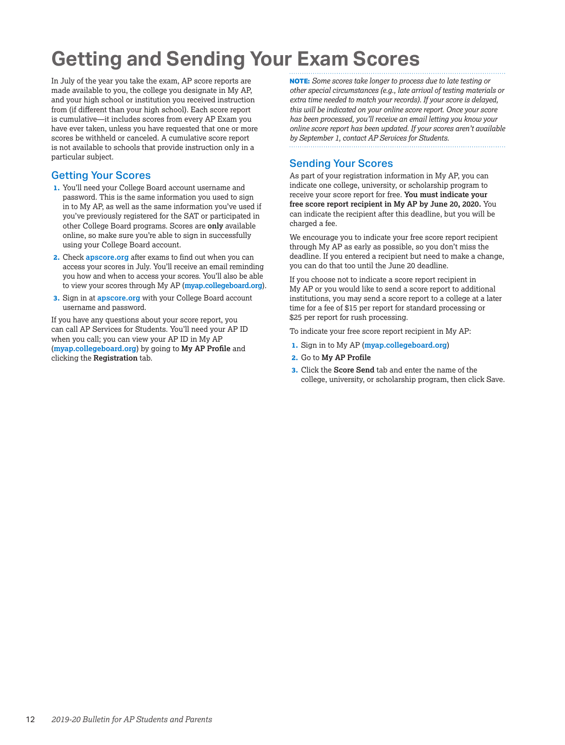## <span id="page-13-0"></span>**Getting and Sending Your Exam Scores**

In July of the year you take the exam, AP score reports are made available to you, the college you designate in My AP, and your high school or institution you received instruction from (if different than your high school). Each score report is cumulative—it includes scores from every AP Exam you have ever taken, unless you have requested that one or more scores be withheld or canceled. A cumulative score report is not available to schools that provide instruction only in a particular subject.

## Getting Your Scores

- **1.** You'll need your College Board account username and password. This is the same information you used to sign in to My AP, as well as the same information you've used if you've previously registered for the SAT or participated in other College Board programs. Scores are **only** available online, so make sure you're able to sign in successfully using your College Board account.
- **2.** Check **[apscore.org](http://apscore.org)** after exams to find out when you can access your scores in July. You'll receive an email reminding you how and when to access your scores. You'll also be able to view your scores through My AP (**[myap.collegeboard.org](http://myap.collegeboard.org)**).
- **3.** Sign in at **[apscore.org](http://apscore.org)** with your College Board account username and password.

If you have any questions about your score report, you can call AP Services for Students. You'll need your AP ID when you call; you can view your AP ID in My AP (**[myap.collegeboard.org](http://myap.collegeboard.org)**) by going to **My AP Profile** and clicking the **Registration** tab.

**NOTE:** *Some scores take longer to process due to late testing or other special circumstances (e.g., late arrival of testing materials or extra time needed to match your records). If your score is delayed, this will be indicated on your online score report. Once your score has been processed, you'll receive an email letting you know your online score report has been updated. If your scores aren't available by September 1, contact AP Services for Students.*

## Sending Your Scores

As part of your registration information in My AP, you can indicate one college, university, or scholarship program to receive your score report for free. **You must indicate your free score report recipient in My AP by June 20, 2020.** You can indicate the recipient after this deadline, but you will be charged a fee.

We encourage you to indicate your free score report recipient through My AP as early as possible, so you don't miss the deadline. If you entered a recipient but need to make a change, you can do that too until the June 20 deadline.

If you choose not to indicate a score report recipient in My AP or you would like to send a score report to additional institutions, you may send a score report to a college at a later time for a fee of \$15 per report for standard processing or \$25 per report for rush processing.

To indicate your free score report recipient in My AP:

- **1.** Sign in to My AP (**[myap.collegeboard.org](http://myap.collegeboard.org)**)
- **2.** Go to **My AP Profile**
- **3.** Click the **Score Send** tab and enter the name of the college, university, or scholarship program, then click Save.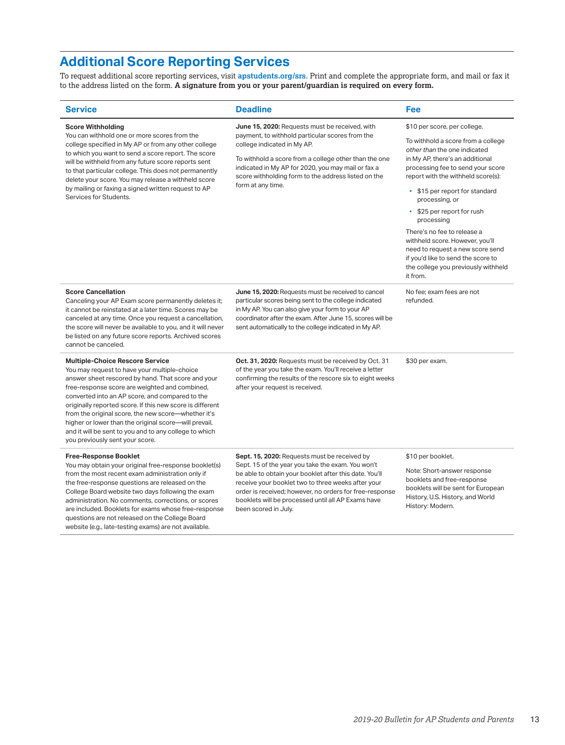## **Additional Score Reporting Services**

website (e.g., late-testing exams) are not available.

To request additional score reporting services, visit **[apstudents.org/srs](http://apstudents.org/srs)**. Print and complete the appropriate form, and mail or fax it to the address listed on the form. **A signature from you or your parent/guardian is required on every form.**

| <b>Service</b>                                                                                                                                                                                                                                                                                                                                                                                                                                                                                                              | <b>Deadline</b>                                                                                                                                                                                                                                                                                                                                            | Fee                                                                                                                                                                                                                                                                                                                                                                                                                                                                                                             |
|-----------------------------------------------------------------------------------------------------------------------------------------------------------------------------------------------------------------------------------------------------------------------------------------------------------------------------------------------------------------------------------------------------------------------------------------------------------------------------------------------------------------------------|------------------------------------------------------------------------------------------------------------------------------------------------------------------------------------------------------------------------------------------------------------------------------------------------------------------------------------------------------------|-----------------------------------------------------------------------------------------------------------------------------------------------------------------------------------------------------------------------------------------------------------------------------------------------------------------------------------------------------------------------------------------------------------------------------------------------------------------------------------------------------------------|
| <b>Score Withholding</b><br>You can withhold one or more scores from the<br>college specified in My AP or from any other college<br>to which you want to send a score report. The score<br>will be withheld from any future score reports sent<br>to that particular college. This does not permanently<br>delete your score. You may release a withheld score<br>by mailing or faxing a signed written request to AP<br>Services for Students.                                                                             | June 15, 2020: Requests must be received, with<br>payment, to withhold particular scores from the<br>college indicated in My AP.<br>To withhold a score from a college other than the one<br>indicated in My AP for 2020, you may mail or fax a<br>score withholding form to the address listed on the<br>form at any time.                                | \$10 per score, per college.<br>To withhold a score from a college<br>other than the one indicated<br>in My AP, there's an additional<br>processing fee to send your score<br>report with the withheld score(s):<br>• \$15 per report for standard<br>processing, or<br>• \$25 per report for rush<br>processing<br>There's no fee to release a<br>withheld score. However, you'll<br>need to request a new score send<br>if you'd like to send the score to<br>the college you previously withheld<br>it from. |
| <b>Score Cancellation</b><br>Canceling your AP Exam score permanently deletes it;<br>it cannot be reinstated at a later time. Scores may be<br>canceled at any time. Once you request a cancellation,<br>the score will never be available to you, and it will never<br>be listed on any future score reports. Archived scores<br>cannot be canceled.                                                                                                                                                                       | June 15, 2020: Requests must be received to cancel<br>particular scores being sent to the college indicated<br>in My AP. You can also give your form to your AP<br>coordinator after the exam. After June 15, scores will be<br>sent automatically to the college indicated in My AP.                                                                      | No fee: exam fees are not<br>refunded.                                                                                                                                                                                                                                                                                                                                                                                                                                                                          |
| <b>Multiple-Choice Rescore Service</b><br>You may request to have your multiple-choice<br>answer sheet rescored by hand. That score and your<br>free-response score are weighted and combined,<br>converted into an AP score, and compared to the<br>originally reported score. If this new score is different<br>from the original score, the new score-whether it's<br>higher or lower than the original score-will prevail,<br>and it will be sent to you and to any college to which<br>you previously sent your score. | Oct. 31, 2020: Requests must be received by Oct. 31<br>of the year you take the exam. You'll receive a letter<br>confirming the results of the rescore six to eight weeks<br>after your request is received.                                                                                                                                               | \$30 per exam.                                                                                                                                                                                                                                                                                                                                                                                                                                                                                                  |
| <b>Free-Response Booklet</b><br>You may obtain your original free-response booklet(s)<br>from the most recent exam administration only if<br>the free-response questions are released on the<br>College Board website two days following the exam<br>administration. No comments, corrections, or scores<br>are included. Booklets for exams whose free-response<br>questions are not released on the College Board                                                                                                         | Sept. 15, 2020: Requests must be received by<br>Sept. 15 of the year you take the exam. You won't<br>be able to obtain your booklet after this date. You'll<br>receive your booklet two to three weeks after your<br>order is received; however, no orders for free-response<br>booklets will be processed until all AP Exams have<br>been scored in July. | \$10 per booklet.<br>Note: Short-answer response<br>booklets and free-response<br>booklets will be sent for European<br>History, U.S. History, and World<br>History: Modern.                                                                                                                                                                                                                                                                                                                                    |